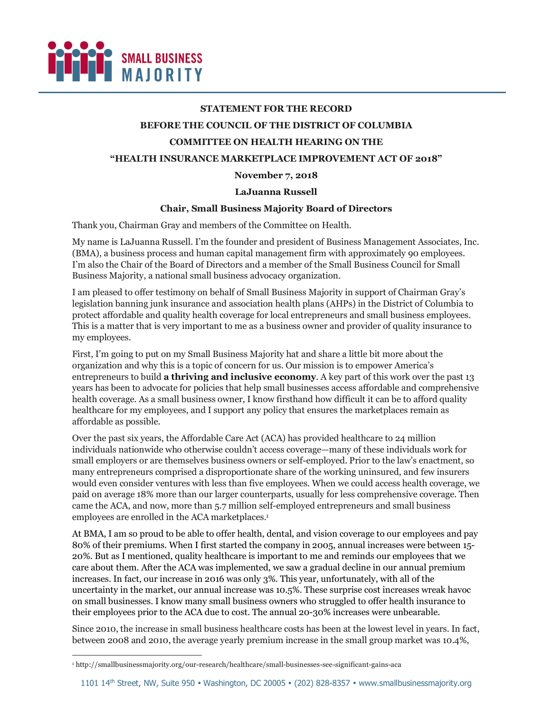

# **STATEMENT FOR THE RECORD**

### **BEFORE THE COUNCIL OF THE DISTRICT OF COLUMBIA**

## **COMMITTEE ON HEALTH HEARING ON THE**

## **"HEALTH INSURANCE MARKETPLACE IMPROVEMENT ACT OF 2018"**

### **November 7, 2018**

### **LaJuanna Russell**

# **Chair, Small Business Majority Board of Directors**

Thank you, Chairman Gray and members of the Committee on Health.

My name is LaJuanna Russell. I'm the founder and president of Business Management Associates, Inc. (BMA), a business process and human capital management firm with approximately 90 employees. I'm also the Chair of the Board of Directors and a member of the Small Business Council for Small Business Majority, a national small business advocacy organization.

I am pleased to offer testimony on behalf of Small Business Majority in support of Chairman Gray's legislation banning junk insurance and association health plans (AHPs) in the District of Columbia to protect affordable and quality health coverage for local entrepreneurs and small business employees. This is a matter that is very important to me as a business owner and provider of quality insurance to my employees.

First, I'm going to put on my Small Business Majority hat and share a little bit more about the organization and why this is a topic of concern for us. Our mission is to empower America's entrepreneurs to build **a thriving and inclusive economy**. A key part of this work over the past 13 years has been to advocate for policies that help small businesses access affordable and comprehensive health coverage. As a small business owner, I know firsthand how difficult it can be to afford quality healthcare for my employees, and I support any policy that ensures the marketplaces remain as affordable as possible.

Over the past six years, the Affordable Care Act (ACA) has provided healthcare to 24 million individuals nationwide who otherwise couldn't access coverage—many of these individuals work for small employers or are themselves business owners or self-employed. Prior to the law's enactment, so many entrepreneurs comprised a disproportionate share of the working uninsured, and few insurers would even consider ventures with less than five employees. When we could access health coverage, we paid on average 18% more than our larger counterparts, usually for less comprehensive coverage. Then came the ACA, and now, more than 5.7 million self-employed entrepreneurs and small business employees are enrolled in the ACA marketplaces.1

At BMA, I am so proud to be able to offer health, dental, and vision coverage to our employees and pay 80% of their premiums. When I first started the company in 2005, annual increases were between 15- 20%. But as I mentioned, quality healthcare is important to me and reminds our employees that we care about them. After the ACA was implemented, we saw a gradual decline in our annual premium increases. In fact, our increase in 2016 was only 3%. This year, unfortunately, with all of the uncertainty in the market, our annual increase was 10.5%. These surprise cost increases wreak havoc on small businesses. I know many small business owners who struggled to offer health insurance to their employees prior to the ACA due to cost. The annual 20-30% increases were unbearable.

Since 2010, the increase in small business healthcare costs has been at the lowest level in years. In fact, between 2008 and 2010, the average yearly premium increase in the small group market was 10.4%,

i,

<sup>1</sup> http://smallbusinessmajority.org/our-research/healthcare/small-businesses-see-significant-gains-aca